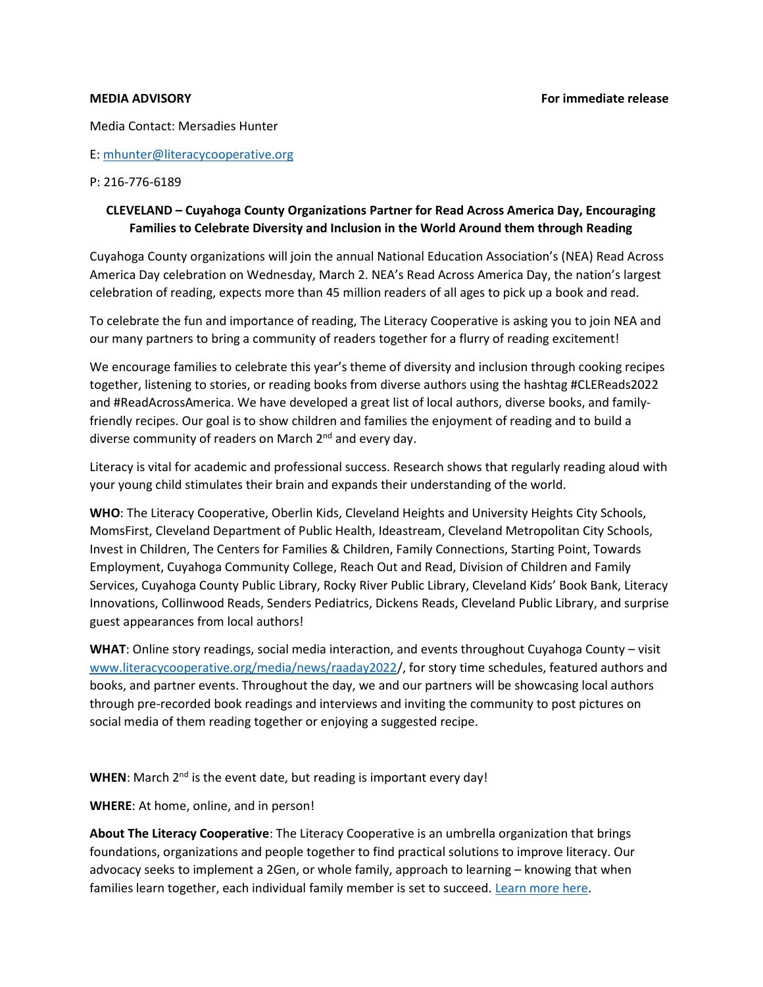Media Contact: Mersadies Hunter

E: mhunter@literacycooperative.org

## P: 216-776-6189

## CLEVELAND – Cuyahoga County Organizations Partner for Read Across America Day, Encouraging Families to Celebrate Diversity and Inclusion in the World Around them through Reading

Cuyahoga County organizations will join the annual National Education Association's (NEA) Read Across America Day celebration on Wednesday, March 2. NEA's Read Across America Day, the nation's largest celebration of reading, expects more than 45 million readers of all ages to pick up a book and read.

To celebrate the fun and importance of reading, The Literacy Cooperative is asking you to join NEA and our many partners to bring a community of readers together for a flurry of reading excitement!

We encourage families to celebrate this year's theme of diversity and inclusion through cooking recipes together, listening to stories, or reading books from diverse authors using the hashtag #CLEReads2022 and #ReadAcrossAmerica. We have developed a great list of local authors, diverse books, and familyfriendly recipes. Our goal is to show children and families the enjoyment of reading and to build a diverse community of readers on March 2<sup>nd</sup> and every day.

Literacy is vital for academic and professional success. Research shows that regularly reading aloud with your young child stimulates their brain and expands their understanding of the world.

WHO: The Literacy Cooperative, Oberlin Kids, Cleveland Heights and University Heights City Schools, MomsFirst, Cleveland Department of Public Health, Ideastream, Cleveland Metropolitan City Schools, Invest in Children, The Centers for Families & Children, Family Connections, Starting Point, Towards Employment, Cuyahoga Community College, Reach Out and Read, Division of Children and Family Services, Cuyahoga County Public Library, Rocky River Public Library, Cleveland Kids' Book Bank, Literacy Innovations, Collinwood Reads, Senders Pediatrics, Dickens Reads, Cleveland Public Library, and surprise guest appearances from local authors!

WHAT: Online story readings, social media interaction, and events throughout Cuyahoga County - visit www.literacycooperative.org/media/news/raaday2022/, for story time schedules, featured authors and books, and partner events. Throughout the day, we and our partners will be showcasing local authors through pre-recorded book readings and interviews and inviting the community to post pictures on social media of them reading together or enjoying a suggested recipe.

**WHEN:** March  $2^{nd}$  is the event date, but reading is important every day!

WHERE: At home, online, and in person!

About The Literacy Cooperative: The Literacy Cooperative is an umbrella organization that brings foundations, organizations and people together to find practical solutions to improve literacy. Our advocacy seeks to implement a 2Gen, or whole family, approach to learning – knowing that when families learn together, each individual family member is set to succeed. Learn more here.